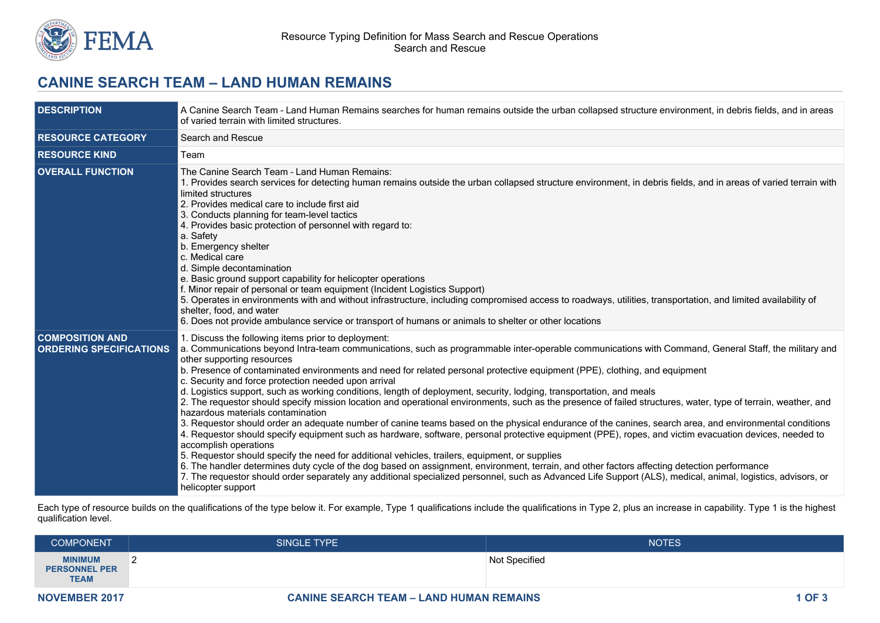

## **CANINE SEARCH TEAM – LAND HUMAN REMAINS**

| <b>DESCRIPTION</b>                                       | A Canine Search Team - Land Human Remains searches for human remains outside the urban collapsed structure environment, in debris fields, and in areas<br>of varied terrain with limited structures.                                                                                                                                                                                                                                                                                                                                                                                                                                                                                                                                                                                                                                                                                                                                                                                                                                                                                                                                                                                                                                                                                                                                                                                                                                                                                                                                                |  |
|----------------------------------------------------------|-----------------------------------------------------------------------------------------------------------------------------------------------------------------------------------------------------------------------------------------------------------------------------------------------------------------------------------------------------------------------------------------------------------------------------------------------------------------------------------------------------------------------------------------------------------------------------------------------------------------------------------------------------------------------------------------------------------------------------------------------------------------------------------------------------------------------------------------------------------------------------------------------------------------------------------------------------------------------------------------------------------------------------------------------------------------------------------------------------------------------------------------------------------------------------------------------------------------------------------------------------------------------------------------------------------------------------------------------------------------------------------------------------------------------------------------------------------------------------------------------------------------------------------------------------|--|
| <b>RESOURCE CATEGORY</b>                                 | Search and Rescue                                                                                                                                                                                                                                                                                                                                                                                                                                                                                                                                                                                                                                                                                                                                                                                                                                                                                                                                                                                                                                                                                                                                                                                                                                                                                                                                                                                                                                                                                                                                   |  |
| <b>RESOURCE KIND</b>                                     | Team                                                                                                                                                                                                                                                                                                                                                                                                                                                                                                                                                                                                                                                                                                                                                                                                                                                                                                                                                                                                                                                                                                                                                                                                                                                                                                                                                                                                                                                                                                                                                |  |
| <b>OVERALL FUNCTION</b>                                  | The Canine Search Team - Land Human Remains:<br>1. Provides search services for detecting human remains outside the urban collapsed structure environment, in debris fields, and in areas of varied terrain with<br>limited structures<br>2. Provides medical care to include first aid<br>3. Conducts planning for team-level tactics<br>4. Provides basic protection of personnel with regard to:<br>a. Safety<br>b. Emergency shelter<br>c. Medical care<br>d. Simple decontamination<br>e. Basic ground support capability for helicopter operations<br>f. Minor repair of personal or team equipment (Incident Logistics Support)<br>5. Operates in environments with and without infrastructure, including compromised access to roadways, utilities, transportation, and limited availability of<br>shelter, food, and water<br>6. Does not provide ambulance service or transport of humans or animals to shelter or other locations                                                                                                                                                                                                                                                                                                                                                                                                                                                                                                                                                                                                        |  |
| <b>COMPOSITION AND</b><br><b>ORDERING SPECIFICATIONS</b> | 1. Discuss the following items prior to deployment:<br>a. Communications beyond Intra-team communications, such as programmable inter-operable communications with Command, General Staff, the military and<br>other supporting resources<br>b. Presence of contaminated environments and need for related personal protective equipment (PPE), clothing, and equipment<br>c. Security and force protection needed upon arrival<br>d. Logistics support, such as working conditions, length of deployment, security, lodging, transportation, and meals<br>2. The requestor should specify mission location and operational environments, such as the presence of failed structures, water, type of terrain, weather, and<br>hazardous materials contamination<br>3. Requestor should order an adequate number of canine teams based on the physical endurance of the canines, search area, and environmental conditions<br>4. Requestor should specify equipment such as hardware, software, personal protective equipment (PPE), ropes, and victim evacuation devices, needed to<br>accomplish operations<br>5. Requestor should specify the need for additional vehicles, trailers, equipment, or supplies<br>6. The handler determines duty cycle of the dog based on assignment, environment, terrain, and other factors affecting detection performance<br>7. The requestor should order separately any additional specialized personnel, such as Advanced Life Support (ALS), medical, animal, logistics, advisors, or<br>helicopter support |  |

Each type of resource builds on the qualifications of the type below it. For example, Type 1 qualifications include the qualifications in Type 2, plus an increase in capability. Type 1 is the highest qualification level.

| <b>COMPONENT</b>                               | <b>SINGLE TYPE</b> | <b>NOTES</b>  |
|------------------------------------------------|--------------------|---------------|
| <b>MINIMUM</b><br>PERSONNEL PER<br><b>TEAM</b> |                    | Not Specified |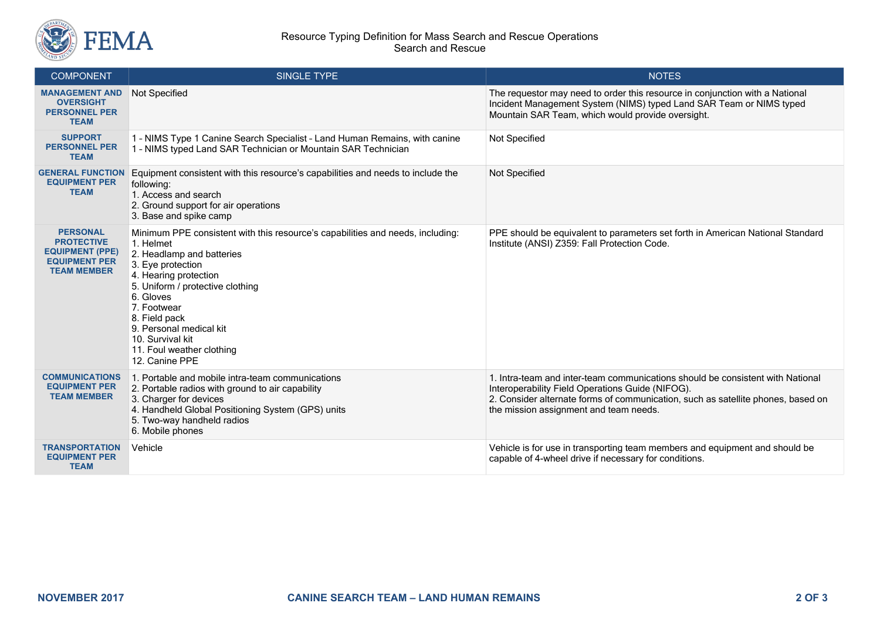

## Resource Typing Definition for Mass Search and Rescue Operations Search and Rescue

| <b>COMPONENT</b>                                                                                             | <b>SINGLE TYPE</b>                                                                                                                                                                                                                                                                                                                                    | <b>NOTES</b>                                                                                                                                                                                                                                                     |
|--------------------------------------------------------------------------------------------------------------|-------------------------------------------------------------------------------------------------------------------------------------------------------------------------------------------------------------------------------------------------------------------------------------------------------------------------------------------------------|------------------------------------------------------------------------------------------------------------------------------------------------------------------------------------------------------------------------------------------------------------------|
| <b>MANAGEMENT AND</b><br><b>OVERSIGHT</b><br><b>PERSONNEL PER</b><br><b>TEAM</b>                             | Not Specified                                                                                                                                                                                                                                                                                                                                         | The requestor may need to order this resource in conjunction with a National<br>Incident Management System (NIMS) typed Land SAR Team or NIMS typed<br>Mountain SAR Team, which would provide oversight.                                                         |
| <b>SUPPORT</b><br><b>PERSONNEL PER</b><br><b>TEAM</b>                                                        | 1 - NIMS Type 1 Canine Search Specialist - Land Human Remains, with canine<br>1 - NIMS typed Land SAR Technician or Mountain SAR Technician                                                                                                                                                                                                           | Not Specified                                                                                                                                                                                                                                                    |
| <b>GENERAL FUNCTION</b><br><b>EQUIPMENT PER</b><br><b>TEAM</b>                                               | Equipment consistent with this resource's capabilities and needs to include the<br>following:<br>1. Access and search<br>2. Ground support for air operations<br>3. Base and spike camp                                                                                                                                                               | Not Specified                                                                                                                                                                                                                                                    |
| <b>PERSONAL</b><br><b>PROTECTIVE</b><br><b>EQUIPMENT (PPE)</b><br><b>EQUIPMENT PER</b><br><b>TEAM MEMBER</b> | Minimum PPE consistent with this resource's capabilities and needs, including:<br>1. Helmet<br>2. Headlamp and batteries<br>3. Eye protection<br>4. Hearing protection<br>5. Uniform / protective clothing<br>6. Gloves<br>7. Footwear<br>8. Field pack<br>9. Personal medical kit<br>10. Survival kit<br>11. Foul weather clothing<br>12. Canine PPE | PPE should be equivalent to parameters set forth in American National Standard<br>Institute (ANSI) Z359: Fall Protection Code.                                                                                                                                   |
| <b>COMMUNICATIONS</b><br><b>EQUIPMENT PER</b><br><b>TEAM MEMBER</b>                                          | 1. Portable and mobile intra-team communications<br>2. Portable radios with ground to air capability<br>3. Charger for devices<br>4. Handheld Global Positioning System (GPS) units<br>5. Two-way handheld radios<br>6. Mobile phones                                                                                                                 | 1. Intra-team and inter-team communications should be consistent with National<br>Interoperability Field Operations Guide (NIFOG).<br>2. Consider alternate forms of communication, such as satellite phones, based on<br>the mission assignment and team needs. |
| <b>TRANSPORTATION</b><br><b>EQUIPMENT PER</b><br><b>TEAM</b>                                                 | Vehicle                                                                                                                                                                                                                                                                                                                                               | Vehicle is for use in transporting team members and equipment and should be<br>capable of 4-wheel drive if necessary for conditions.                                                                                                                             |